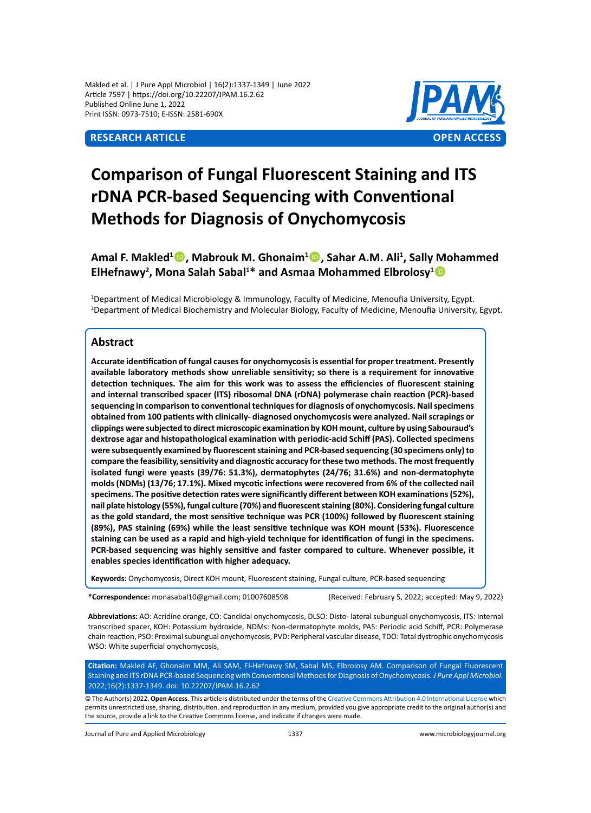Makled et al. | J Pure Appl Microbiol | 16(2):1337-1349 | June 2022 Article 7597 | https://doi.org/10.22207/JPAM.16.2.62 Published Online June 1, 2022 Print ISSN: 0973-7510; E-ISSN: 2581-690X



# **Comparison of Fungal Fluorescent Staining and ITS rDNA PCR-based Sequencing with Conventional Methods for Diagnosis of Onychomycosis**

Amal F. Makled<sup>1</sup><sup>®</sup>, Mabrouk M. Ghonaim<sup>1</sup><sup>®</sup>, Sahar A.M. Ali<sup>1</sup>, Sally Mohammed ElHefnawy<sup>2</sup>, Mona Salah Sabal<sup>1\*</sup> and Asmaa Mohammed Elbrolosy<sup>1</sup><sup>®</sup>

1 Department of Medical Microbiology & Immunology, Faculty of Medicine, Menoufia University, Egypt. 2 Department of Medical Biochemistry and Molecular Biology, Faculty of Medicine, Menoufia University, Egypt.

# **Abstract**

**Accurate identification of fungal causes for onychomycosis is essential for proper treatment. Presently available laboratory methods show unreliable sensitivity; so there is a requirement for innovative detection techniques. The aim for this work was to assess the efficiencies of fluorescent staining and internal transcribed spacer (ITS) ribosomal DNA (rDNA) polymerase chain reaction (PCR)-based sequencing in comparison to conventional techniques for diagnosis of onychomycosis. Nail specimens obtained from 100 patients with clinically- diagnosed onychomycosis were analyzed. Nail scrapings or clippings were subjected to direct microscopic examination by KOH mount, culture by using Sabouraud's dextrose agar and histopathological examination with periodic-acid Schiff (PAS). Collected specimens were subsequently examined by fluorescent staining and PCR-based sequencing (30 specimens only) to compare the feasibility, sensitivity and diagnostic accuracy for these two methods. The most frequently isolated fungi were yeasts (39/76: 51.3%), dermatophytes (24/76; 31.6%) and non-dermatophyte molds (NDMs) (13/76; 17.1%). Mixed mycotic infections were recovered from 6% of the collected nail specimens. The positive detection rates were significantly different between KOH examinations (52%), nail plate histology (55%), fungal culture (70%) and fluorescent staining (80%). Considering fungal culture as the gold standard, the most sensitive technique was PCR (100%) followed by fluorescent staining (89%), PAS staining (69%) while the least sensitive technique was KOH mount (53%). Fluorescence staining can be used as a rapid and high-yield technique for identification of fungi in the specimens. PCR-based sequencing was highly sensitive and faster compared to culture. Whenever possible, it enables species identification with higher adequacy.**

**Keywords:** Onychomycosis, Direct KOH mount, Fluorescent staining, Fungal culture, PCR-based sequencing

**\*Correspondence:** monasabal10@gmail.com; 01007608598 (Received: February 5, 2022; accepted: May 9, 2022)

**Abbreviations:** AO: Acridine orange, CO: Candidal onychomycosis, DLSO: Disto- lateral subungual onychomycosis, ITS: Internal transcribed spacer, KOH: Potassium hydroxide, NDMs: Non-dermatophyte molds, PAS: Periodic acid Schiff, PCR: Polymerase chain reaction, PSO: Proximal subungual onychomycosis, PVD: Peripheral vascular disease, TDO: Total dystrophic onychomycosis WSO: White superficial onychomycosis,

**Citation:** Makled AF, Ghonaim MM, Ali SAM, El-Hefnawy SM, Sabal MS, Elbrolosy AM. Comparison of Fungal Fluorescent Staining and ITS rDNA PCR-based Sequencing with Conventional Methods for Diagnosis of Onychomycosis. *J Pure Appl Microbiol.* 2022;16(2):1337-1349. doi: 10.22207/JPAM.16.2.62

© The Author(s) 2022. **Open Access**. This article is distributed under the terms of the [Creative Commons Attribution 4.0 International License](https://creativecommons.org/licenses/by/4.0/) which permits unrestricted use, sharing, distribution, and reproduction in any medium, provided you give appropriate credit to the original author(s) and the source, provide a link to the Creative Commons license, and indicate if changes were made.

Journal of Pure and Applied Microbiology 1337 www.microbiologyjournal.org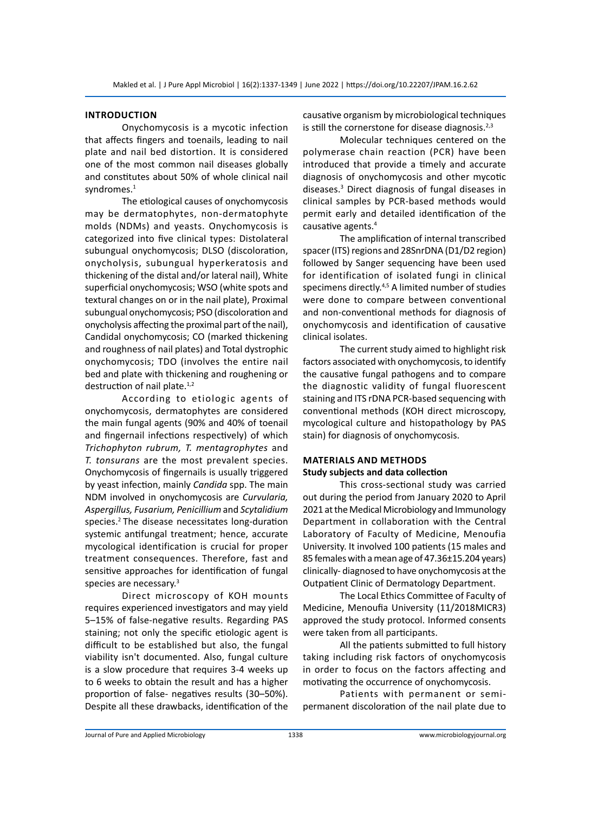# **Introduction**

Onychomycosis is a mycotic infection that affects fingers and toenails, leading to nail plate and nail bed distortion. It is considered one of the most common nail diseases globally and constitutes about 50% of whole clinical nail syndromes.<sup>1</sup>

The etiological causes of onychomycosis may be dermatophytes, non-dermatophyte molds (NDMs) and yeasts. Onychomycosis is categorized into five clinical types: Distolateral subungual onychomycosis; DLSO (discoloration, onycholysis, subungual hyperkeratosis and thickening of the distal and/or lateral nail), White superficial onychomycosis; WSO (white spots and textural changes on or in the nail plate), Proximal subungual onychomycosis; PSO (discoloration and onycholysis affecting the proximal part of the nail), Candidal onychomycosis; CO (marked thickening and roughness of nail plates) and Total dystrophic onychomycosis; TDO (involves the entire nail bed and plate with thickening and roughening or destruction of nail plate.<sup>1,2</sup>

According to etiologic agents of onychomycosis, dermatophytes are considered the main fungal agents (90% and 40% of toenail and fingernail infections respectively) of which *Trichophyton rubrum, T. mentagrophytes* and *T. tonsurans* are the most prevalent species. Onychomycosis of fingernails is usually triggered by yeast infection, mainly *Candida* spp. The main NDM involved in onychomycosis are *Curvularia, Aspergillus, Fusarium, Penicillium* and *Scytalidium*  species.2 The disease necessitates long-duration systemic antifungal treatment; hence, accurate mycological identification is crucial for proper treatment consequences. Therefore, fast and sensitive approaches for identification of fungal species are necessary.<sup>3</sup>

Direct microscopy of KOH mounts requires experienced investigators and may yield 5–15% of false-negative results. Regarding PAS staining; not only the specific etiologic agent is difficult to be established but also, the fungal viability isn't documented. Also, fungal culture is a slow procedure that requires 3-4 weeks up to 6 weeks to obtain the result and has a higher proportion of false- negatives results (30–50%). Despite all these drawbacks, identification of the causative organism by microbiological techniques is still the cornerstone for disease diagnosis. $2,3$ 

Molecular techniques centered on the polymerase chain reaction (PCR) have been introduced that provide a timely and accurate diagnosis of onychomycosis and other mycotic diseases.3 Direct diagnosis of fungal diseases in clinical samples by PCR-based methods would permit early and detailed identification of the causative agents.<sup>4</sup>

The amplification of internal transcribed spacer (ITS) regions and 28SnrDNA (D1/D2 region) followed by Sanger sequencing have been used for identification of isolated fungi in clinical specimens directly.<sup>4,5</sup> A limited number of studies were done to compare between conventional and non-conventional methods for diagnosis of onychomycosis and identification of causative clinical isolates.

The current study aimed to highlight risk factors associated with onychomycosis, to identify the causative fungal pathogens and to compare the diagnostic validity of fungal fluorescent staining and ITS rDNA PCR-based sequencing with conventional methods (KOH direct microscopy, mycological culture and histopathology by PAS stain) for diagnosis of onychomycosis.

# **Materials and Methods Study subjects and data collection**

This cross-sectional study was carried out during the period from January 2020 to April 2021 at the Medical Microbiology and Immunology Department in collaboration with the Central Laboratory of Faculty of Medicine, Menoufia University. It involved 100 patients (15 males and 85 females with a mean age of 47.36±15.204 years) clinically- diagnosed to have onychomycosis at the Outpatient Clinic of Dermatology Department.

The Local Ethics Committee of Faculty of Medicine, Menoufia University (11/2018MICR3) approved the study protocol. Informed consents were taken from all participants.

All the patients submitted to full history taking including risk factors of onychomycosis in order to focus on the factors affecting and motivating the occurrence of onychomycosis.

Patients with permanent or semipermanent discoloration of the nail plate due to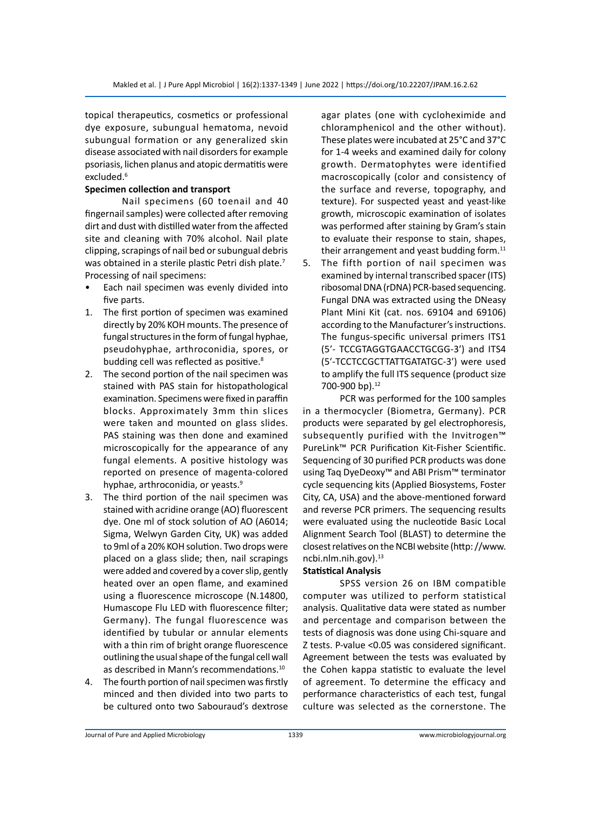topical therapeutics, cosmetics or professional dye exposure, subungual hematoma, nevoid subungual formation or any generalized skin disease associated with nail disorders for example psoriasis, lichen planus and atopic dermatitis were excluded.<sup>6</sup>

# **Specimen collection and transport**

Nail specimens (60 toenail and 40 fingernail samples) were collected after removing dirt and dust with distilled water from the affected site and cleaning with 70% alcohol. Nail plate clipping, scrapings of nail bed or subungual debris was obtained in a sterile plastic Petri dish plate.<sup>7</sup> Processing of nail specimens:

- Each nail specimen was evenly divided into five parts.
- 1. The first portion of specimen was examined directly by 20% KOH mounts. The presence of fungal structures in the form of fungal hyphae, pseudohyphae, arthroconidia, spores, or budding cell was reflected as positive.<sup>8</sup>
- 2. The second portion of the nail specimen was stained with PAS stain for histopathological examination. Specimens were fixed in paraffin blocks. Approximately 3mm thin slices were taken and mounted on glass slides. PAS staining was then done and examined microscopically for the appearance of any fungal elements. A positive histology was reported on presence of magenta-colored hyphae, arthroconidia, or yeasts.<sup>9</sup>
- 3. The third portion of the nail specimen was stained with acridine orange (AO) fluorescent dye. One ml of stock solution of AO (A6014; Sigma, Welwyn Garden City, UK) was added to 9ml of a 20% KOH solution. Two drops were placed on a glass slide; then, nail scrapings were added and covered by a cover slip, gently heated over an open flame, and examined using a fluorescence microscope (N.14800, Humascope Flu LED with fluorescence filter; Germany). The fungal fluorescence was identified by tubular or annular elements with a thin rim of bright orange fluorescence outlining the usual shape of the fungal cell wall as described in Mann's recommendations.<sup>10</sup>
- 4. The fourth portion of nail specimen was firstly minced and then divided into two parts to be cultured onto two Sabouraud's dextrose

agar plates (one with cycloheximide and chloramphenicol and the other without). These plates were incubated at 25°C and 37°C for 1-4 weeks and examined daily for colony growth. Dermatophytes were identified macroscopically (color and consistency of the surface and reverse, topography, and texture). For suspected yeast and yeast-like growth, microscopic examination of isolates was performed after staining by Gram's stain to evaluate their response to stain, shapes, their arrangement and yeast budding form. $^{11}$ 

5. The fifth portion of nail specimen was examined by internal transcribed spacer (ITS) ribosomal DNA (rDNA) PCR-based sequencing. Fungal DNA was extracted using the DNeasy Plant Mini Kit (cat. nos. 69104 and 69106) according to the Manufacturer's instructions. The fungus-specific universal primers ITS1 (5ʹ- TCCGTAGGTGAACCTGCGG-3ʹ) and ITS4 (5ʹ-TCCTCCGCTTATTGATATGC-3ʹ) were used to amplify the full ITS sequence (product size 700-900 bp).<sup>12</sup>

PCR was performed for the 100 samples in a thermocycler (Biometra, Germany). PCR products were separated by gel electrophoresis, subsequently purified with the Invitrogen™ PureLink™ PCR Purification Kit-Fisher Scientific. Sequencing of 30 purified PCR products was done using Taq DyeDeoxy™ and ABI Prism™ terminator cycle sequencing kits (Applied Biosystems, Foster City, CA, USA) and the above-mentioned forward and reverse PCR primers. The sequencing results were evaluated using the nucleotide Basic Local Alignment Search Tool (BLAST) to determine the closest relatives on the NCBI website (http: //www. ncbi.nlm.nih.gov).<sup>13</sup>

# **Statistical Analysis**

SPSS version 26 on IBM compatible computer was utilized to perform statistical analysis. Qualitative data were stated as number and percentage and comparison between the tests of diagnosis was done using Chi-square and Z tests. P-value <0.05 was considered significant. Agreement between the tests was evaluated by the Cohen kappa statistic to evaluate the level of agreement. To determine the efficacy and performance characteristics of each test, fungal culture was selected as the cornerstone. The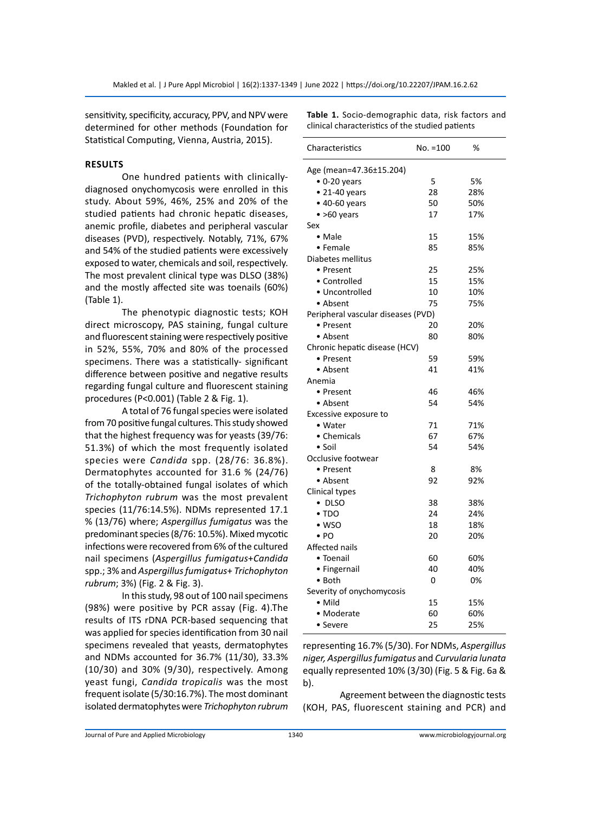sensitivity, specificity, accuracy, PPV, and NPV were determined for other methods (Foundation for Statistical Computing, Vienna, Austria, 2015).

# **Results**

One hundred patients with clinicallydiagnosed onychomycosis were enrolled in this study. About 59%, 46%, 25% and 20% of the studied patients had chronic hepatic diseases, anemic profile, diabetes and peripheral vascular diseases (PVD), respectively. Notably, 71%, 67% and 54% of the studied patients were excessively exposed to water, chemicals and soil, respectively. The most prevalent clinical type was DLSO (38%) and the mostly affected site was toenails (60%) (Table 1).

The phenotypic diagnostic tests; KOH direct microscopy, PAS staining, fungal culture and fluorescent staining were respectively positive in 52%, 55%, 70% and 80% of the processed specimens. There was a statistically- significant difference between positive and negative results regarding fungal culture and fluorescent staining procedures (P<0.001) (Table 2 & Fig. 1).

A total of 76 fungal species were isolated from 70 positive fungal cultures. This study showed that the highest frequency was for yeasts (39/76: 51.3%) of which the most frequently isolated species were *Candida* spp. (28/76: 36.8%). Dermatophytes accounted for 31.6 % (24/76) of the totally-obtained fungal isolates of which *Trichophyton rubrum* was the most prevalent species (11/76:14.5%). NDMs represented 17.1 % (13/76) where; *Aspergillus fumigatus* was the predominant species (8/76: 10.5%). Mixed mycotic infections were recovered from 6% of the cultured nail specimens (*Aspergillus fumigatus*+*Candida* spp.; 3% and *Aspergillus fumigatus*+ *Trichophyton rubrum*; 3%) (Fig. 2 & Fig. 3).

In this study, 98 out of 100 nail specimens (98%) were positive by PCR assay (Fig. 4).The results of ITS rDNA PCR-based sequencing that was applied for species identification from 30 nail specimens revealed that yeasts, dermatophytes and NDMs accounted for 36.7% (11/30), 33.3% (10/30) and 30% (9/30), respectively. Among yeast fungi, *Candida tropicalis* was the most frequent isolate (5/30:16.7%). The most dominant isolated dermatophytes were *Trichophyton rubrum* **Table 1.** Socio-demographic data, risk factors and clinical characteristics of the studied patients

| Characteristics                    | $No. = 100$ | ℅   |  |  |  |  |  |
|------------------------------------|-------------|-----|--|--|--|--|--|
| Age (mean=47.36±15.204)            |             |     |  |  |  |  |  |
| $\bullet$ 0-20 years               | 5           | 5%  |  |  |  |  |  |
| $\bullet$ 21-40 years              | 28          | 28% |  |  |  |  |  |
| $\bullet$ 40-60 years              | 50          | 50% |  |  |  |  |  |
| $\bullet$ >60 years                | 17          | 17% |  |  |  |  |  |
| Sex                                |             |     |  |  |  |  |  |
| • Male                             | 15          | 15% |  |  |  |  |  |
| $\bullet$ Female                   | 85          | 85% |  |  |  |  |  |
| Diabetes mellitus                  |             |     |  |  |  |  |  |
| • Present                          | 25          | 25% |  |  |  |  |  |
| • Controlled                       | 15          | 15% |  |  |  |  |  |
| • Uncontrolled                     | 10          | 10% |  |  |  |  |  |
| • Absent                           | 75          | 75% |  |  |  |  |  |
| Peripheral vascular diseases (PVD) |             |     |  |  |  |  |  |
| • Present                          | 20          | 20% |  |  |  |  |  |
| • Absent                           | 80          | 80% |  |  |  |  |  |
| Chronic hepatic disease (HCV)      |             |     |  |  |  |  |  |
| • Present                          | 59          | 59% |  |  |  |  |  |
| • Absent                           | 41          | 41% |  |  |  |  |  |
| Anemia                             |             |     |  |  |  |  |  |
| • Present                          | 46          | 46% |  |  |  |  |  |
| • Absent                           | 54          | 54% |  |  |  |  |  |
| Excessive exposure to              |             |     |  |  |  |  |  |
| • Water                            | 71          | 71% |  |  |  |  |  |
| • Chemicals                        | 67          | 67% |  |  |  |  |  |
| $\bullet$ Soil                     | 54          | 54% |  |  |  |  |  |
| Occlusive footwear                 |             |     |  |  |  |  |  |
| • Present                          | 8           | 8%  |  |  |  |  |  |
| • Absent                           | 92          | 92% |  |  |  |  |  |
| Clinical types                     |             |     |  |  |  |  |  |
| • DLSO                             | 38          | 38% |  |  |  |  |  |
| $\bullet$ TDO                      | 24          | 24% |  |  |  |  |  |
| $\bullet$ WSO                      | 18          | 18% |  |  |  |  |  |
| $\bullet$ PO                       | 20          | 20% |  |  |  |  |  |
| Affected nails                     |             |     |  |  |  |  |  |
| • Toenail                          | 60          | 60% |  |  |  |  |  |
| • Fingernail                       | 40          | 40% |  |  |  |  |  |
| • Both                             | 0           | 0%  |  |  |  |  |  |
| Severity of onychomycosis          |             |     |  |  |  |  |  |
| $\bullet$ Mild                     | 15          | 15% |  |  |  |  |  |
| • Moderate                         | 60          | 60% |  |  |  |  |  |
| $\bullet$ Severe                   | 25          | 25% |  |  |  |  |  |
|                                    |             |     |  |  |  |  |  |

representing 16.7% (5/30). For NDMs, *Aspergillus niger, Aspergillus fumigatus* and *Curvularia lunata*  equally represented 10% (3/30) (Fig. 5 & Fig. 6a & b).

Agreement between the diagnostic tests (KOH, PAS, fluorescent staining and PCR) and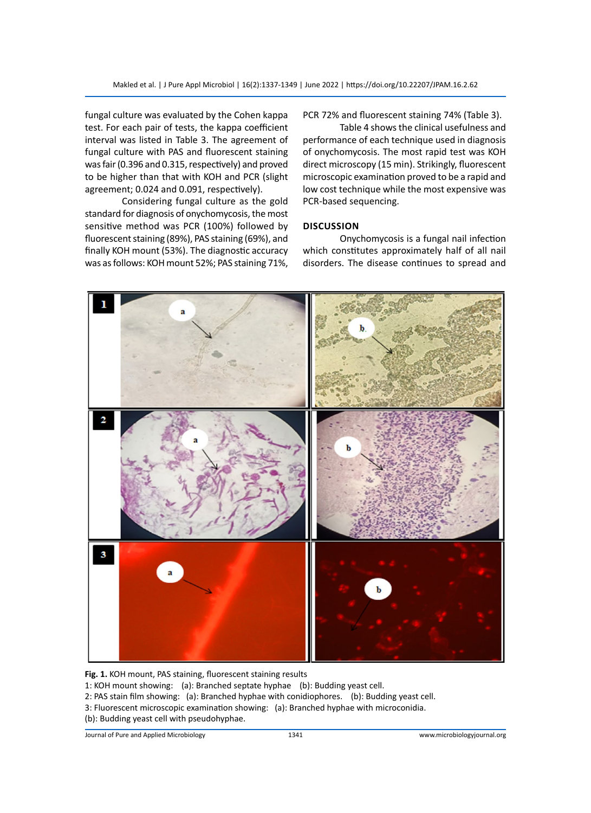fungal culture was evaluated by the Cohen kappa test. For each pair of tests, the kappa coefficient interval was listed in Table 3. The agreement of fungal culture with PAS and fluorescent staining was fair (0.396 and 0.315, respectively) and proved to be higher than that with KOH and PCR (slight agreement; 0.024 and 0.091, respectively).

Considering fungal culture as the gold standard for diagnosis of onychomycosis, the most sensitive method was PCR (100%) followed by fluorescent staining (89%), PAS staining (69%), and finally KOH mount (53%). The diagnostic accuracy was as follows: KOH mount 52%; PAS staining 71%,

PCR 72% and fluorescent staining 74% (Table 3).

Table 4 shows the clinical usefulness and performance of each technique used in diagnosis of onychomycosis. The most rapid test was KOH direct microscopy (15 min). Strikingly, fluorescent microscopic examination proved to be a rapid and low cost technique while the most expensive was PCR-based sequencing.

# **Discussion**

Onychomycosis is a fungal nail infection which constitutes approximately half of all nail disorders. The disease continues to spread and



**Fig. 1.** KOH mount, PAS staining, fluorescent staining results

1: KOH mount showing: (a): Branched septate hyphae (b): Budding yeast cell.

- 2: PAS stain film showing: (a): Branched hyphae with conidiophores. (b): Budding yeast cell.
- 3: Fluorescent microscopic examination showing: (a): Branched hyphae with microconidia.
- (b): Budding yeast cell with pseudohyphae.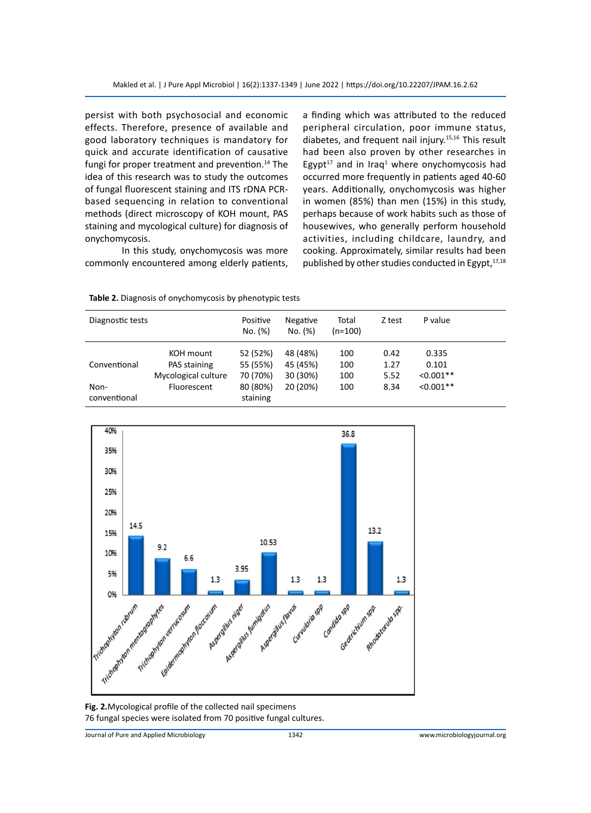persist with both psychosocial and economic effects. Therefore, presence of available and good laboratory techniques is mandatory for quick and accurate identification of causative fungi for proper treatment and prevention.<sup>14</sup> The idea of this research was to study the outcomes of fungal fluorescent staining and ITS rDNA PCRbased sequencing in relation to conventional methods (direct microscopy of KOH mount, PAS staining and mycological culture) for diagnosis of onychomycosis.

In this study, onychomycosis was more commonly encountered among elderly patients, a finding which was attributed to the reduced peripheral circulation, poor immune status, diabetes, and frequent nail injury.15,16 This result had been also proven by other researches in Egypt<sup>17</sup> and in Iraq<sup>1</sup> where onychomycosis had occurred more frequently in patients aged 40-60 years. Additionally, onychomycosis was higher in women (85%) than men (15%) in this study, perhaps because of work habits such as those of housewives, who generally perform household activities, including childcare, laundry, and cooking. Approximately, similar results had been published by other studies conducted in Egypt, $17,18$ 

| Table 2. Diagnosis of onychomycosis by phenotypic tests |  |  |
|---------------------------------------------------------|--|--|
|---------------------------------------------------------|--|--|

| Diagnostic tests     |                                                  | Positive<br>No. (%)              | Negative<br>No. (%)              | Total<br>$(n=100)$ | Z test               | P value                       |  |
|----------------------|--------------------------------------------------|----------------------------------|----------------------------------|--------------------|----------------------|-------------------------------|--|
| Conventional         | KOH mount<br>PAS staining<br>Mycological culture | 52 (52%)<br>55 (55%)<br>70 (70%) | 48 (48%)<br>45 (45%)<br>30 (30%) | 100<br>100<br>100  | 0.42<br>1.27<br>5.52 | 0.335<br>0.101<br>$< 0.001**$ |  |
| Non-<br>conventional | Fluorescent                                      | 80 (80%)<br>staining             | 20 (20%)                         | 100                | 8.34                 | $< 0.001**$                   |  |



**Fig. 2.**Mycological profile of the collected nail specimens 76 fungal species were isolated from 70 positive fungal cultures.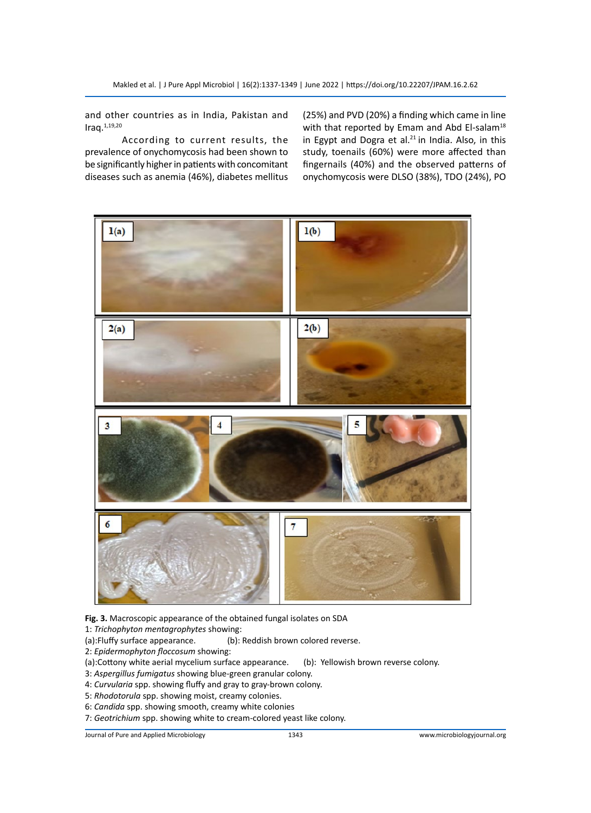and other countries as in India, Pakistan and Iraq.1,19,20

According to current results, the prevalence of onychomycosis had been shown to be significantly higher in patients with concomitant diseases such as anemia (46%), diabetes mellitus (25%) and PVD (20%) a finding which came in line with that reported by Emam and Abd El-salam<sup>18</sup> in Egypt and Dogra et al. $21$  in India. Also, in this study, toenails (60%) were more affected than fingernails (40%) and the observed patterns of onychomycosis were DLSO (38%), TDO (24%), PO



**Fig. 3.** Macroscopic appearance of the obtained fungal isolates on SDA

1: *Trichophyton mentagrophytes* showing:

- (a):Fluffy surface appearance. (b): Reddish brown colored reverse.
- 2: *Epidermophyton floccosum* showing:
- (a):Cottony white aerial mycelium surface appearance. (b): Yellowish brown reverse colony.
- 3: *Aspergillus fumigatus* showing blue-green granular colony.
- 4: *Curvularia* spp. showing fluffy and gray to gray-brown colony.
- 5: *Rhodotorula* spp. showing moist, creamy colonies.
- 6: *Candida* spp. showing smooth, creamy white colonies
- 7: *Geotrichium* spp. showing white to cream-colored yeast like colony.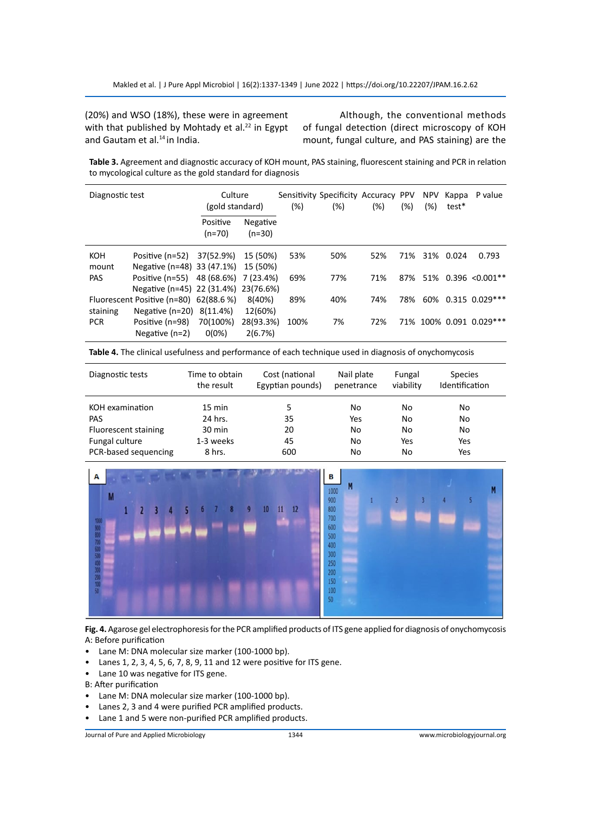(20%) and WSO (18%), these were in agreement with that published by Mohtady et al. $^{22}$  in Egypt and Gautam et al.<sup>14</sup> in India.

Although, the conventional methods of fungal detection (direct microscopy of KOH mount, fungal culture, and PAS staining) are the

**Table 3.** Agreement and diagnostic accuracy of KOH mount, PAS staining, fluorescent staining and PCR in relation to mycological culture as the gold standard for diagnosis

| Diagnostic test |                                        | Culture<br>(gold standard) |                      | $(\%)$ | Sensitivity Specificity Accuracy PPV<br>$(\%)$ | $(\%)$ | $(\%)$ | <b>NPV</b><br>$(\%)$ | Kappa<br>test* | P value                  |
|-----------------|----------------------------------------|----------------------------|----------------------|--------|------------------------------------------------|--------|--------|----------------------|----------------|--------------------------|
|                 |                                        | Positive<br>$(n=70)$       | Negative<br>$(n=30)$ |        |                                                |        |        |                      |                |                          |
| KOH             | Positive (n=52) 37(52.9%)              |                            | 15 (50%)             | 53%    | 50%                                            | 52%    | 71%    |                      | 31% 0.024      | 0.793                    |
| mount           | Negative (n=48) 33 (47.1%)             |                            | 15 (50%)             |        |                                                |        |        |                      |                |                          |
| <b>PAS</b>      | Positive (n=55) 48 (68.6%)             |                            | 7 (23.4%)            | 69%    | 77%                                            | 71%    | 87%    |                      |                | $51\%$ 0.396 < 0.001**   |
|                 | Negative (n=45) 22 (31.4%) 23(76.6%)   |                            |                      |        |                                                |        |        |                      |                |                          |
|                 | Fluorescent Positive (n=80) 62(88.6 %) |                            | 8(40%)               | 89%    | 40%                                            | 74%    | 78%    |                      |                | 60% 0.315 0.029***       |
| staining        | Negative (n=20) 8(11.4%)               |                            | 12(60%)              |        |                                                |        |        |                      |                |                          |
| <b>PCR</b>      | Positive (n=98)                        | 70(100%)                   | 28(93.3%)            | 100%   | 7%                                             | 72%    |        |                      |                | 71% 100% 0.091 0.029 *** |
|                 | Negative $(n=2)$                       | $0(0\%)$                   | 2(6.7%)              |        |                                                |        |        |                      |                |                          |

**Table 4.** The clinical usefulness and performance of each technique used in diagnosis of onychomycosis

| Diagnostic tests     | Time to obtain   | Cost (national   | Nail plate | Fungal    | <b>Species</b> |  |
|----------------------|------------------|------------------|------------|-----------|----------------|--|
|                      | the result       | Egyptian pounds) | penetrance | viability | Identification |  |
| KOH examination      | $15 \text{ min}$ | 5                | No         | No        | No             |  |
| <b>PAS</b>           | 24 hrs.          | 35               | Yes        | No        | No             |  |
| Fluorescent staining | $30 \text{ min}$ | 20               | No         | No        | No             |  |
| Fungal culture       | 1-3 weeks        | 45               | No         | Yes       | Yes            |  |
| PCR-based sequencing | 8 hrs.           | 600              | No         | No        | Yes            |  |



**Fig. 4.** Agarose gel electrophoresis for the PCR amplified products of ITS gene applied for diagnosis of onychomycosis A: Before purification

- Lane M: DNA molecular size marker (100-1000 bp).
- Lanes 1, 2, 3, 4, 5, 6, 7, 8, 9, 11 and 12 were positive for ITS gene.
- Lane 10 was negative for ITS gene.
- B: After purification
- Lane M: DNA molecular size marker (100-1000 bp).
- Lanes 2, 3 and 4 were purified PCR amplified products.
- Lane 1 and 5 were non-purified PCR amplified products.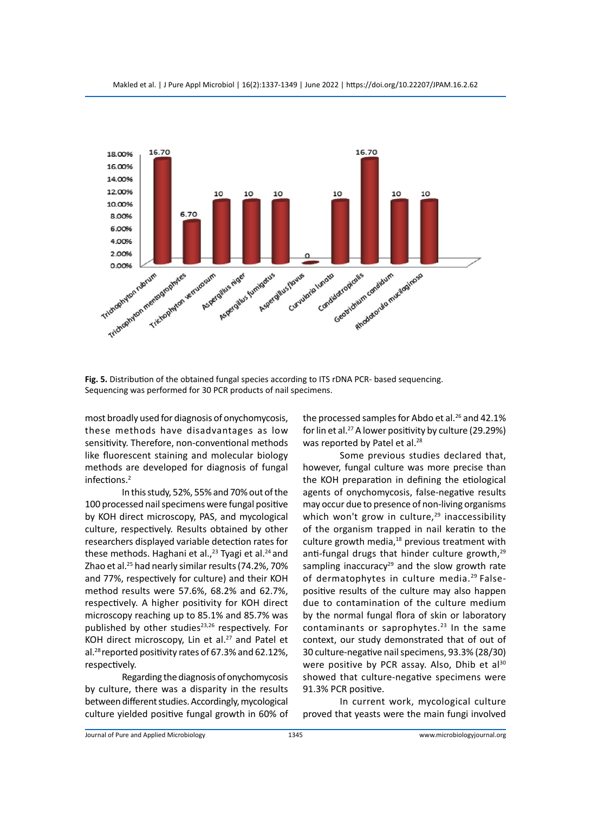

**Fig. 5.** Distribution of the obtained fungal species according to ITS rDNA PCR- based sequencing. Sequencing was performed for 30 PCR products of nail specimens.

most broadly used for diagnosis of onychomycosis, these methods have disadvantages as low sensitivity. Therefore, non-conventional methods like fluorescent staining and molecular biology methods are developed for diagnosis of fungal infections.<sup>2</sup>

In this study, 52%, 55% and 70% out of the 100 processed nail specimens were fungal positive by KOH direct microscopy, PAS, and mycological culture, respectively. Results obtained by other researchers displayed variable detection rates for these methods. Haghani et al.,<sup>23</sup> Tyagi et al.<sup>24</sup> and Zhao et al.25 had nearly similar results (74.2%, 70% and 77%, respectively for culture) and their KOH method results were 57.6%, 68.2% and 62.7%, respectively. A higher positivity for KOH direct microscopy reaching up to 85.1% and 85.7% was published by other studies<sup>23,26</sup> respectively. For KOH direct microscopy, Lin et al. $27$  and Patel et al.28 reported positivity rates of 67.3% and 62.12%, respectively.

Regarding the diagnosis of onychomycosis by culture, there was a disparity in the results between different studies. Accordingly, mycological culture yielded positive fungal growth in 60% of the processed samples for Abdo et al.<sup>26</sup> and 42.1% for lin et al.27 A lower positivity by culture (29.29%) was reported by Patel et al.<sup>28</sup>

Some previous studies declared that, however, fungal culture was more precise than the KOH preparation in defining the etiological agents of onychomycosis, false-negative results may occur due to presence of non-living organisms which won't grow in culture, $29$  inaccessibility of the organism trapped in nail keratin to the culture growth media, $^{18}$  previous treatment with anti-fungal drugs that hinder culture growth,<sup>29</sup> sampling inaccuracy<sup>29</sup> and the slow growth rate of dermatophytes in culture media.<sup>29</sup> Falsepositive results of the culture may also happen due to contamination of the culture medium by the normal fungal flora of skin or laboratory contaminants or saprophytes. $23$  In the same context, our study demonstrated that of out of 30 culture-negative nail specimens, 93.3% (28/30) were positive by PCR assay. Also, Dhib et al<sup>30</sup> showed that culture-negative specimens were 91.3% PCR positive.

In current work, mycological culture proved that yeasts were the main fungi involved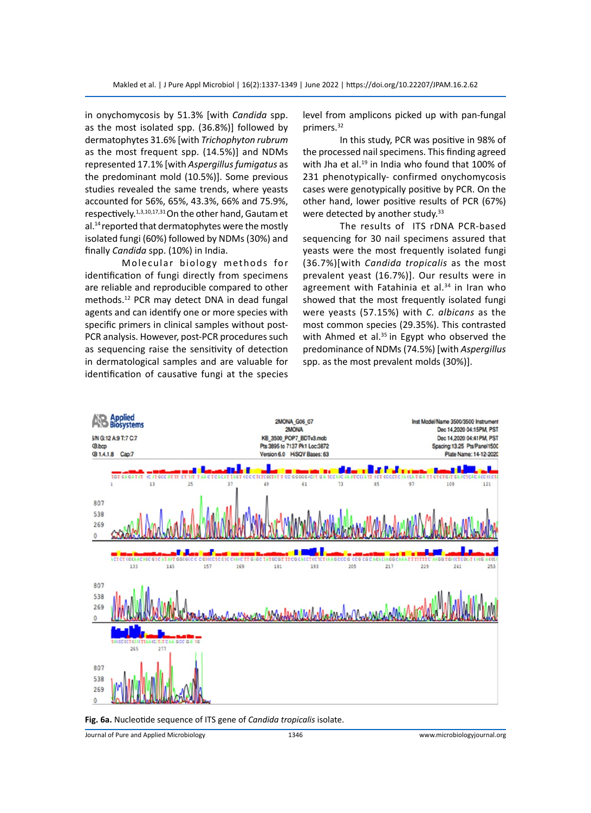in onychomycosis by 51.3% [with *Candida* spp. as the most isolated spp. (36.8%)] followed by dermatophytes 31.6% [with *Trichophyton rubrum*  as the most frequent spp. (14.5%)] and NDMs represented 17.1% [with *Aspergillus fumigatus* as the predominant mold (10.5%)]. Some previous studies revealed the same trends, where yeasts accounted for 56%, 65%, 43.3%, 66% and 75.9%, respectively.1,3,10,17,31 On the other hand, Gautam et al.<sup>14</sup> reported that dermatophytes were the mostly isolated fungi (60%) followed by NDMs (30%) and finally *Candida* spp. (10%) in India.

Molecular biology methods for identification of fungi directly from specimens are reliable and reproducible compared to other methods.12 PCR may detect DNA in dead fungal agents and can identify one or more species with specific primers in clinical samples without post-PCR analysis. However, post-PCR procedures such as sequencing raise the sensitivity of detection in dermatological samples and are valuable for identification of causative fungi at the species level from amplicons picked up with pan-fungal primers.32

In this study, PCR was positive in 98% of the processed nail specimens. This finding agreed with Jha et al.<sup>19</sup> in India who found that 100% of 231 phenotypically- confirmed onychomycosis cases were genotypically positive by PCR. On the other hand, lower positive results of PCR (67%) were detected by another study.<sup>33</sup>

The results of ITS rDNA PCR-based sequencing for 30 nail specimens assured that yeasts were the most frequently isolated fungi (36.7%)[with *Candida tropicalis* as the most prevalent yeast (16.7%)]. Our results were in agreement with Fatahinia et al.<sup>34</sup> in Iran who showed that the most frequently isolated fungi were yeasts (57.15%) with *C. albicans* as the most common species (29.35%). This contrasted with Ahmed et al.<sup>35</sup> in Egypt who observed the predominance of NDMs (74.5%) [with *Aspergillus*  spp. as the most prevalent molds (30%)].



**Fig. 6a.** Nucleotide sequence of ITS gene of *Candida tropicalis* isolate.

Journal of Pure and Applied Microbiology 1346 www.microbiologyjournal.org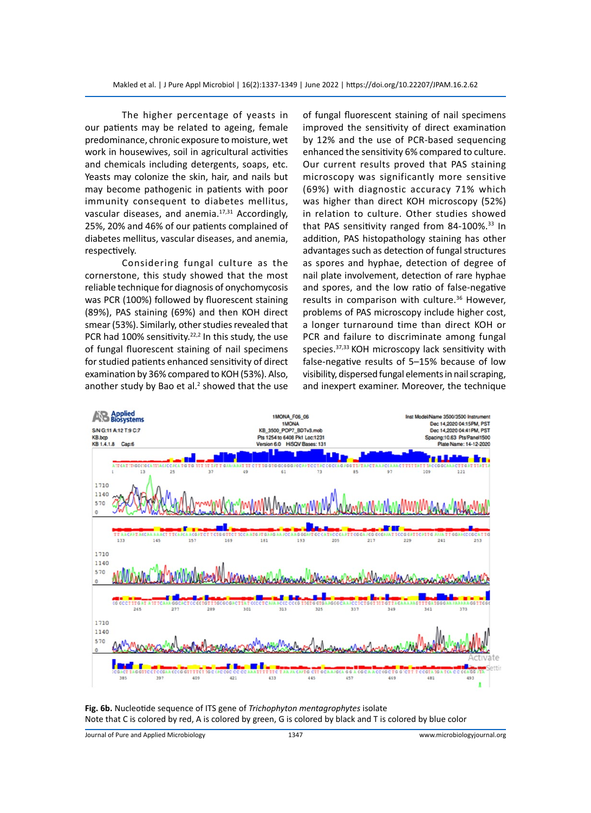The higher percentage of yeasts in our patients may be related to ageing, female predominance, chronic exposure to moisture, wet work in housewives, soil in agricultural activities and chemicals including detergents, soaps, etc. Yeasts may colonize the skin, hair, and nails but may become pathogenic in patients with poor immunity consequent to diabetes mellitus, vascular diseases, and anemia.<sup>17,31</sup> Accordingly, 25%, 20% and 46% of our patients complained of diabetes mellitus, vascular diseases, and anemia, respectively.

Considering fungal culture as the cornerstone, this study showed that the most reliable technique for diagnosis of onychomycosis was PCR (100%) followed by fluorescent staining (89%), PAS staining (69%) and then KOH direct smear (53%). Similarly, other studies revealed that PCR had 100% sensitivity.<sup>22,2</sup> In this study, the use of fungal fluorescent staining of nail specimens for studied patients enhanced sensitivity of direct examination by 36% compared to KOH (53%). Also, another study by Bao et al. $<sup>2</sup>$  showed that the use</sup> of fungal fluorescent staining of nail specimens improved the sensitivity of direct examination by 12% and the use of PCR-based sequencing enhanced the sensitivity 6% compared to culture. Our current results proved that PAS staining microscopy was significantly more sensitive (69%) with diagnostic accuracy 71% which was higher than direct KOH microscopy (52%) in relation to culture. Other studies showed that PAS sensitivity ranged from 84-100%.<sup>33</sup> In addition, PAS histopathology staining has other advantages such as detection of fungal structures as spores and hyphae, detection of degree of nail plate involvement, detection of rare hyphae and spores, and the low ratio of false-negative results in comparison with culture.<sup>36</sup> However, problems of PAS microscopy include higher cost, a longer turnaround time than direct KOH or PCR and failure to discriminate among fungal species.<sup>37,33</sup> KOH microscopy lack sensitivity with false-negative results of 5–15% because of low visibility, dispersed fungal elements in nail scraping, and inexpert examiner. Moreover, the technique



**Fig. 6b.** Nucleotide sequence of ITS gene of *Trichophyton mentagrophytes* isolate Note that C is colored by red, A is colored by green, G is colored by black and T is colored by blue color

Journal of Pure and Applied Microbiology 1347 www.microbiologyjournal.org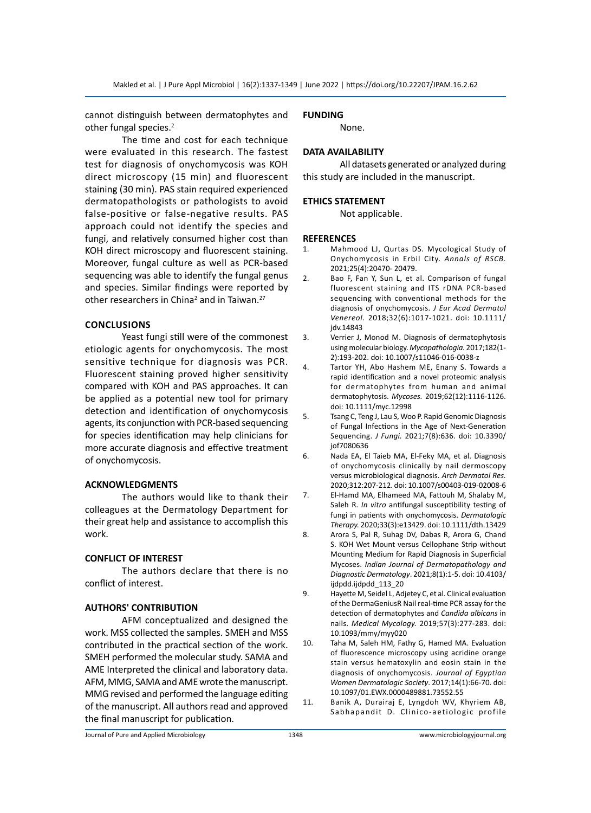cannot distinguish between dermatophytes and other fungal species.<sup>2</sup>

The time and cost for each technique were evaluated in this research. The fastest test for diagnosis of onychomycosis was KOH direct microscopy (15 min) and fluorescent staining (30 min). PAS stain required experienced dermatopathologists or pathologists to avoid false-positive or false-negative results. PAS approach could not identify the species and fungi, and relatively consumed higher cost than KOH direct microscopy and fluorescent staining. Moreover, fungal culture as well as PCR-based sequencing was able to identify the fungal genus and species. Similar findings were reported by other researchers in China<sup>2</sup> and in Taiwan.<sup>27</sup>

#### **Conclusions**

Yeast fungi still were of the commonest etiologic agents for onychomycosis. The most sensitive technique for diagnosis was PCR. Fluorescent staining proved higher sensitivity compared with KOH and PAS approaches. It can be applied as a potential new tool for primary detection and identification of onychomycosis agents, its conjunction with PCR-based sequencing for species identification may help clinicians for more accurate diagnosis and effective treatment of onychomycosis.

#### **ACKNOWLEDGMENTS**

The authors would like to thank their colleagues at the Dermatology Department for their great help and assistance to accomplish this work.

### **CONFLICT OF INTEREST**

The authors declare that there is no conflict of interest.

#### **AUTHORS' CONTRIBUTION**

AFM conceptualized and designed the work. MSS collected the samples. SMEH and MSS contributed in the practical section of the work. SMEH performed the molecular study. SAMA and AME Interpreted the clinical and laboratory data. AFM, MMG, SAMA and AME wrote the manuscript. MMG revised and performed the language editing of the manuscript. All authors read and approved the final manuscript for publication.

### **FUNDING**

None.

# **DATA AVAILABILITY**

All datasets generated or analyzed during this study are included in the manuscript.

#### **ETHICS STATEMENT**

Not applicable.

#### **REFERENCES**

- 1. Mahmood LJ, Qurtas DS. Mycological Study of Onychomycosis in Erbil City. *Annals of RSCB.* 2021;25(4):20470- 20479.
- 2. Bao F, Fan Y, Sun L, et al. Comparison of fungal fluorescent staining and ITS rDNA PCR-based sequencing with conventional methods for the diagnosis of onychomycosis. *J Eur Acad Dermatol Venereol.* 2018;32(6):1017-1021. doi: 10.1111/ idv.14843
- 3. Verrier J, Monod M. Diagnosis of dermatophytosis using molecular biology. *Mycopathologia.* 2017;182(1- 2):193-202. doi: 10.1007/s11046-016-0038-z
- 4. Tartor YH, Abo Hashem ME, Enany S. Towards a rapid identification and a novel proteomic analysis for dermatophytes from human and animal dermatophytosis. *Mycoses.* 2019;62(12):1116-1126. doi: 10.1111/myc.12998
- 5. Tsang C, Teng J, Lau S, Woo P. Rapid Genomic Diagnosis of Fungal Infections in the Age of Next-Generation Sequencing. *J Fungi.* 2021;7(8):636. doi: 10.3390/ jof7080636
- 6. Nada EA, El Taieb MA, El-Feky MA, et al. Diagnosis of onychomycosis clinically by nail dermoscopy versus microbiological diagnosis. *Arch Dermatol Res.* 2020;312:207-212. doi: 10.1007/s00403-019-02008-6
- 7. El-Hamd MA, Elhameed MA, Fattouh M, Shalaby M, Saleh R. *In vitro* antifungal susceptibility testing of fungi in patients with onychomycosis. *Dermatologic Therapy.* 2020;33(3):e13429. doi: 10.1111/dth.13429
- 8. Arora S, Pal R, Suhag DV, Dabas R, Arora G, Chand S. KOH Wet Mount versus Cellophane Strip without Mounting Medium for Rapid Diagnosis in Superficial Mycoses. *Indian Journal of Dermatopathology and Diagnostic Dermatology*. 2021;8(1):1-5. doi: 10.4103/ ijdpdd.ijdpdd\_113\_20
- 9. Hayette M, Seidel L, Adjetey C, et al. Clinical evaluation of the DermaGeniusR Nail real-time PCR assay for the detection of dermatophytes and *Candida albicans* in nails. *Medical Mycology.* 2019;57(3):277-283. doi: 10.1093/mmy/myy020
- 10. Taha M, Saleh HM, Fathy G, Hamed MA. Evaluation of fluorescence microscopy using acridine orange stain versus hematoxylin and eosin stain in the diagnosis of onychomycosis. *Journal of Egyptian Women Dermatologic Society*. 2017;14(1):66-70. doi: 10.1097/01.EWX.0000489881.73552.55
- 11. Banik A, Durairaj E, Lyngdoh WV, Khyriem AB, Sabhapandit D. Clinico-aetiologic profile